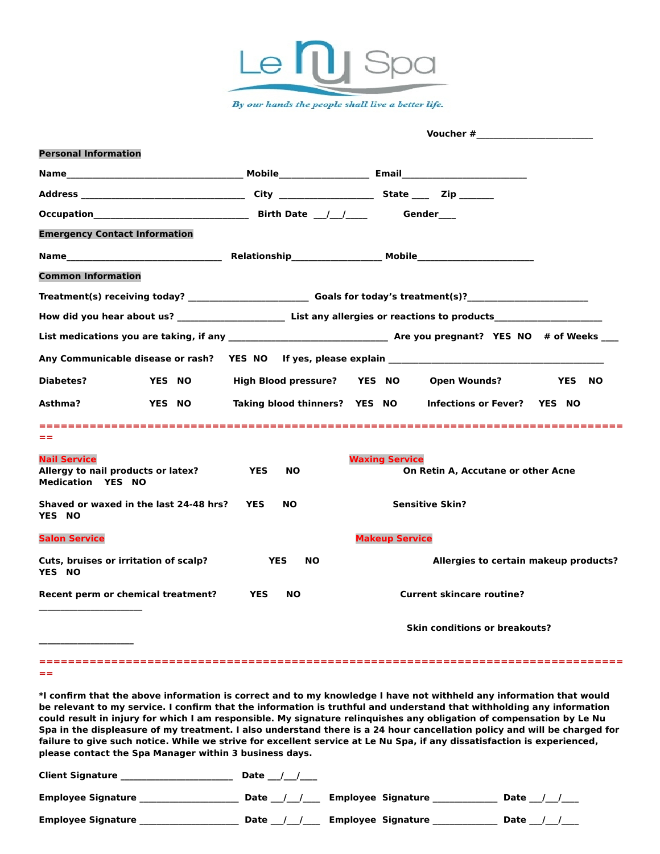

|                                                                                       |                         | Voucher # 2009 and 2009 and 2009 and 2009 and 2009 and 2009 and 2009 and 2009 and 2009 and 2009 and 2009 and 20 |  |
|---------------------------------------------------------------------------------------|-------------------------|-----------------------------------------------------------------------------------------------------------------|--|
| <b>Personal Information</b>                                                           |                         |                                                                                                                 |  |
|                                                                                       |                         |                                                                                                                 |  |
|                                                                                       |                         |                                                                                                                 |  |
|                                                                                       |                         |                                                                                                                 |  |
| <b>Emergency Contact Information</b>                                                  |                         |                                                                                                                 |  |
|                                                                                       |                         |                                                                                                                 |  |
| <b>Common Information</b>                                                             |                         |                                                                                                                 |  |
|                                                                                       |                         | Treatment(s) receiving today? Goals for today's treatment(s)?                                                   |  |
|                                                                                       |                         |                                                                                                                 |  |
|                                                                                       |                         |                                                                                                                 |  |
|                                                                                       |                         |                                                                                                                 |  |
| <b>Diabetes?</b><br><b>YES NO</b>                                                     |                         | High Blood pressure? YES NO Open Wounds?<br><b>YES NO</b>                                                       |  |
| Asthma?<br><b>YES NO</b>                                                              |                         | Taking blood thinners? YES NO Infections or Fever? YES NO                                                       |  |
| ==                                                                                    |                         |                                                                                                                 |  |
| <b>Nail Service</b><br>Allergy to nail products or latex?<br><b>Medication YES NO</b> | <b>YES</b><br><b>NO</b> | <b>Waxing Service</b><br>On Retin A, Accutane or other Acne                                                     |  |
| Shaved or waxed in the last 24-48 hrs? YES<br><b>YES NO</b>                           | <b>NO</b>               | <b>Sensitive Skin?</b>                                                                                          |  |
| <b>Salon Service</b>                                                                  |                         | <b>Makeup Service</b>                                                                                           |  |
| Cuts, bruises or irritation of scalp?<br>YES NO                                       | <b>YES</b><br><b>NO</b> | Allergies to certain makeup products?                                                                           |  |
| Recent perm or chemical treatment? YES                                                | <b>NO</b>               | <b>Current skincare routine?</b>                                                                                |  |
|                                                                                       |                         | <b>Skin conditions or breakouts?</b>                                                                            |  |
|                                                                                       |                         |                                                                                                                 |  |

**\*I confirm that the above information is correct and to my knowledge I have not withheld any information that would be relevant to my service. I confirm that the information is truthful and understand that withholding any information could result in injury for which I am responsible. My signature relinquishes any obligation of compensation by Le Nu Spa in the displeasure of my treatment. I also understand there is a 24 hour cancellation policy and will be charged for failure to give such notice. While we strive for excellent service at Le Nu Spa, if any dissatisfaction is experienced, please contact the Spa Manager within 3 business days.** 

| <b>Client Signature</b>   | Date |                           |      |
|---------------------------|------|---------------------------|------|
| <b>Employee Signature</b> | Date | <b>Employee Signature</b> | Date |
| <b>Employee Signature</b> | Date | <b>Employee Signature</b> | Date |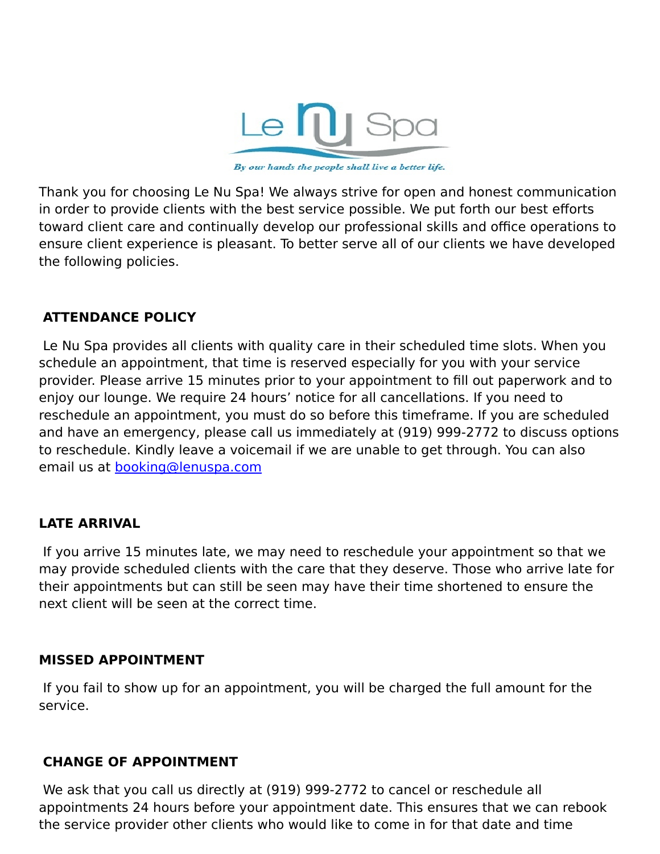

By our hands the people shall live a better life.

Thank you for choosing Le Nu Spa! We always strive for open and honest communication in order to provide clients with the best service possible. We put forth our best efforts toward client care and continually develop our professional skills and office operations to ensure client experience is pleasant. To better serve all of our clients we have developed the following policies.

## **ATTENDANCE POLICY**

 Le Nu Spa provides all clients with quality care in their scheduled time slots. When you schedule an appointment, that time is reserved especially for you with your service provider. Please arrive 15 minutes prior to your appointment to fill out paperwork and to enjoy our lounge. We require 24 hours' notice for all cancellations. If you need to reschedule an appointment, you must do so before this timeframe. If you are scheduled and have an emergency, please call us immediately at (919) 999-2772 to discuss options to reschedule. Kindly leave a voicemail if we are unable to get through. You can also email us at [booking@lenuspa.com](mailto:booking@lenuspa.com)

## **LATE ARRIVAL**

 If you arrive 15 minutes late, we may need to reschedule your appointment so that we may provide scheduled clients with the care that they deserve. Those who arrive late for their appointments but can still be seen may have their time shortened to ensure the next client will be seen at the correct time.

## **MISSED APPOINTMENT**

 If you fail to show up for an appointment, you will be charged the full amount for the service.

## **CHANGE OF APPOINTMENT**

 We ask that you call us directly at (919) 999-2772 to cancel or reschedule all appointments 24 hours before your appointment date. This ensures that we can rebook the service provider other clients who would like to come in for that date and time